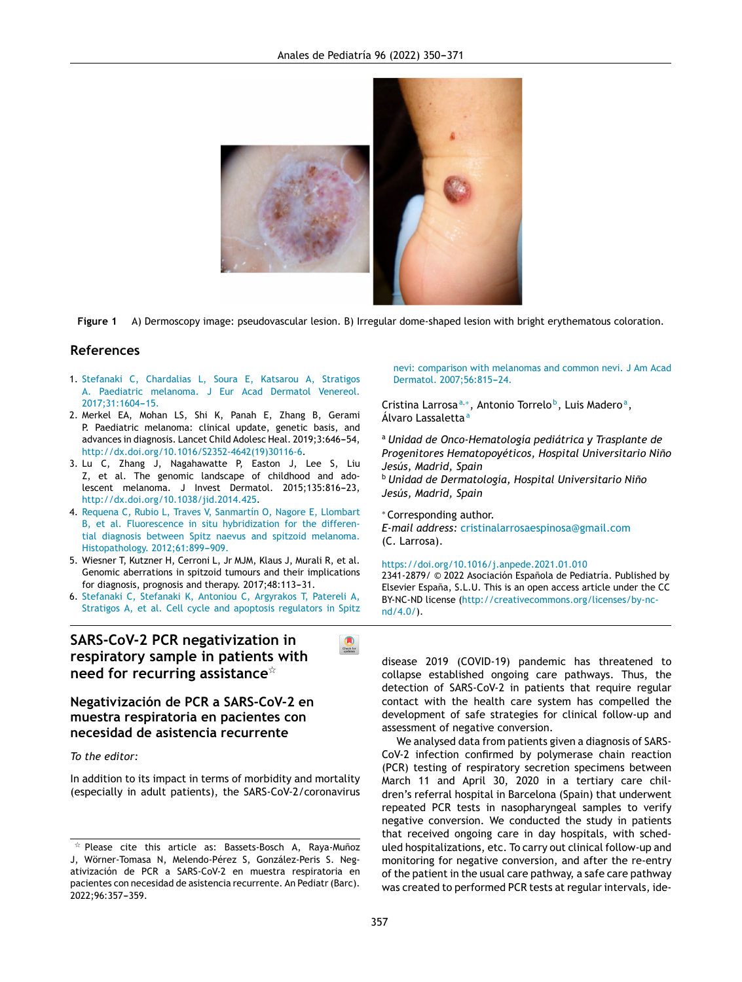

**Figure 1** A) Dermoscopy image: pseudovascular lesion. B) Irregular dome-shaped lesion with bright erythematous coloration.

### **References**

- 1. [Stefanaki](http://refhub.elsevier.com/S2341-2879(21)00025-9/sbref0005) [C,](http://refhub.elsevier.com/S2341-2879(21)00025-9/sbref0005) [Chardalias](http://refhub.elsevier.com/S2341-2879(21)00025-9/sbref0005) [L,](http://refhub.elsevier.com/S2341-2879(21)00025-9/sbref0005) [Soura](http://refhub.elsevier.com/S2341-2879(21)00025-9/sbref0005) [E,](http://refhub.elsevier.com/S2341-2879(21)00025-9/sbref0005) [Katsarou](http://refhub.elsevier.com/S2341-2879(21)00025-9/sbref0005) [A,](http://refhub.elsevier.com/S2341-2879(21)00025-9/sbref0005) [Stratigos](http://refhub.elsevier.com/S2341-2879(21)00025-9/sbref0005) [A.](http://refhub.elsevier.com/S2341-2879(21)00025-9/sbref0005) [Paediatric](http://refhub.elsevier.com/S2341-2879(21)00025-9/sbref0005) [melanoma.](http://refhub.elsevier.com/S2341-2879(21)00025-9/sbref0005) [J](http://refhub.elsevier.com/S2341-2879(21)00025-9/sbref0005) [Eur](http://refhub.elsevier.com/S2341-2879(21)00025-9/sbref0005) [Acad](http://refhub.elsevier.com/S2341-2879(21)00025-9/sbref0005) [Dermatol](http://refhub.elsevier.com/S2341-2879(21)00025-9/sbref0005) [Venereol.](http://refhub.elsevier.com/S2341-2879(21)00025-9/sbref0005) 2017;31:1604-15.
- 2. Merkel EA, Mohan LS, Shi K, Panah E, Zhang B, Gerami P. Paediatric melanoma: clinical update, genetic basis, and advances in diagnosis. Lancet Child Adolesc Heal. 2019;3:646-54, [http://dx.doi.org/10.1016/S2352-4642\(19\)30116-6.](dx.doi.org/10.1016/S2352-4642(19)30116-6)
- 3. Lu C, Zhang J, Nagahawatte P, Easton J, Lee S, Liu Z, et al. The genomic landscape of childhood and adolescent melanoma. J Invest Dermatol. 2015;135:816-23, [http://dx.doi.org/10.1038/jid.2014.425](dx.doi.org/10.1038/jid.2014.425).
- 4. [Requena](http://refhub.elsevier.com/S2341-2879(21)00025-9/sbref0020) [C,](http://refhub.elsevier.com/S2341-2879(21)00025-9/sbref0020) [Rubio](http://refhub.elsevier.com/S2341-2879(21)00025-9/sbref0020) [L,](http://refhub.elsevier.com/S2341-2879(21)00025-9/sbref0020) [Traves](http://refhub.elsevier.com/S2341-2879(21)00025-9/sbref0020) [V,](http://refhub.elsevier.com/S2341-2879(21)00025-9/sbref0020) [Sanmartín](http://refhub.elsevier.com/S2341-2879(21)00025-9/sbref0020) [O,](http://refhub.elsevier.com/S2341-2879(21)00025-9/sbref0020) [Nagore](http://refhub.elsevier.com/S2341-2879(21)00025-9/sbref0020) [E,](http://refhub.elsevier.com/S2341-2879(21)00025-9/sbref0020) [Llombart](http://refhub.elsevier.com/S2341-2879(21)00025-9/sbref0020) [B,](http://refhub.elsevier.com/S2341-2879(21)00025-9/sbref0020) [et](http://refhub.elsevier.com/S2341-2879(21)00025-9/sbref0020) [al.](http://refhub.elsevier.com/S2341-2879(21)00025-9/sbref0020) [Fluorescence](http://refhub.elsevier.com/S2341-2879(21)00025-9/sbref0020) [in](http://refhub.elsevier.com/S2341-2879(21)00025-9/sbref0020) [situ](http://refhub.elsevier.com/S2341-2879(21)00025-9/sbref0020) [hybridization](http://refhub.elsevier.com/S2341-2879(21)00025-9/sbref0020) [for](http://refhub.elsevier.com/S2341-2879(21)00025-9/sbref0020) [the](http://refhub.elsevier.com/S2341-2879(21)00025-9/sbref0020) [differen](http://refhub.elsevier.com/S2341-2879(21)00025-9/sbref0020)[tial](http://refhub.elsevier.com/S2341-2879(21)00025-9/sbref0020) [diagnosis](http://refhub.elsevier.com/S2341-2879(21)00025-9/sbref0020) [between](http://refhub.elsevier.com/S2341-2879(21)00025-9/sbref0020) [Spitz](http://refhub.elsevier.com/S2341-2879(21)00025-9/sbref0020) [naevus](http://refhub.elsevier.com/S2341-2879(21)00025-9/sbref0020) [and](http://refhub.elsevier.com/S2341-2879(21)00025-9/sbref0020) [spitzoid](http://refhub.elsevier.com/S2341-2879(21)00025-9/sbref0020) [melanoma.](http://refhub.elsevier.com/S2341-2879(21)00025-9/sbref0020) [Histopathology.](http://refhub.elsevier.com/S2341-2879(21)00025-9/sbref0020) [2012;61:899](http://refhub.elsevier.com/S2341-2879(21)00025-9/sbref0020)-[909.](http://refhub.elsevier.com/S2341-2879(21)00025-9/sbref0020)
- 5. Wiesner T, Kutzner H, Cerroni L, Jr MJM, Klaus J, Murali R, et al. Genomic aberrations in spitzoid tumours and their implications for diagnosis, prognosis and therapy. 2017;48:113-31.
- 6. [Stefanaki](http://refhub.elsevier.com/S2341-2879(21)00025-9/sbref0030) [C,](http://refhub.elsevier.com/S2341-2879(21)00025-9/sbref0030) [Stefanaki](http://refhub.elsevier.com/S2341-2879(21)00025-9/sbref0030) [K,](http://refhub.elsevier.com/S2341-2879(21)00025-9/sbref0030) [Antoniou](http://refhub.elsevier.com/S2341-2879(21)00025-9/sbref0030) [C,](http://refhub.elsevier.com/S2341-2879(21)00025-9/sbref0030) [Argyrakos](http://refhub.elsevier.com/S2341-2879(21)00025-9/sbref0030) [T,](http://refhub.elsevier.com/S2341-2879(21)00025-9/sbref0030) [Patereli](http://refhub.elsevier.com/S2341-2879(21)00025-9/sbref0030) [A,](http://refhub.elsevier.com/S2341-2879(21)00025-9/sbref0030) [Stratigos](http://refhub.elsevier.com/S2341-2879(21)00025-9/sbref0030) [A,](http://refhub.elsevier.com/S2341-2879(21)00025-9/sbref0030) [et](http://refhub.elsevier.com/S2341-2879(21)00025-9/sbref0030) [al.](http://refhub.elsevier.com/S2341-2879(21)00025-9/sbref0030) [Cell](http://refhub.elsevier.com/S2341-2879(21)00025-9/sbref0030) [cycle](http://refhub.elsevier.com/S2341-2879(21)00025-9/sbref0030) [and](http://refhub.elsevier.com/S2341-2879(21)00025-9/sbref0030) [apoptosis](http://refhub.elsevier.com/S2341-2879(21)00025-9/sbref0030) [regulators](http://refhub.elsevier.com/S2341-2879(21)00025-9/sbref0030) [in](http://refhub.elsevier.com/S2341-2879(21)00025-9/sbref0030) [Spitz](http://refhub.elsevier.com/S2341-2879(21)00025-9/sbref0030)

# **SARS-CoV-2 PCR negativization in respiratory sample in patients with need for recurring assistance**-



**necesidad de asistencia recurrente**

*To the editor:*

In addition to its impact in terms of morbidity and mortality (especially in adult patients), the SARS-CoV-2/coronavirus [nevi:](http://refhub.elsevier.com/S2341-2879(21)00025-9/sbref0030) [comparison](http://refhub.elsevier.com/S2341-2879(21)00025-9/sbref0030) [with](http://refhub.elsevier.com/S2341-2879(21)00025-9/sbref0030) [melanomas](http://refhub.elsevier.com/S2341-2879(21)00025-9/sbref0030) [and](http://refhub.elsevier.com/S2341-2879(21)00025-9/sbref0030) [common](http://refhub.elsevier.com/S2341-2879(21)00025-9/sbref0030) [nevi.](http://refhub.elsevier.com/S2341-2879(21)00025-9/sbref0030) [J](http://refhub.elsevier.com/S2341-2879(21)00025-9/sbref0030) [Am](http://refhub.elsevier.com/S2341-2879(21)00025-9/sbref0030) [Acad](http://refhub.elsevier.com/S2341-2879(21)00025-9/sbref0030) [Dermatol.](http://refhub.elsevier.com/S2341-2879(21)00025-9/sbref0030) 2007;56:815-24.

Cristina [Larros](http://refhub.elsevier.com/S2341-2879(21)00025-9/sbref0030)a<sup>a,∗</sup>, Antonio Torrelo<sup>[b](http://refhub.elsevier.com/S2341-2879(21)00025-9/sbref0030)</sup>, Luis Madero<sup>a</sup>, Álvaro Lassaletta<sup>a</sup>

<sup>a</sup> *Unidad de Onco-Hematología pediátrica y Trasplante de Progenitores Hematopoyéticos, Hospital Universitario Nino˜ Jesús, Madrid, Spain*

<sup>b</sup> *Unidad de Dermatología, Hospital Universitario Nino˜ Jesús, Madrid, Spain*

<sup>∗</sup> Corresponding author. *E-mail address:* [cristinalarrosaespinosa@gmail.com](mailto:cristinalarrosaespinosa@gmail.com) (C. Larrosa).

<https://doi.org/10.1016/j.anpede.2021.01.010>

2341-2879/ © 2022 Asociación Española de Pediatría. Published by Elsevier España, S.L.U. This is an open access article under the CC BY-NC-ND license [\(](mailto:ijordan@sjdhospitalbarcelona.org)[http://creativecommons.org/licenses/by-nc](http://creativecommons.org/licenses/by-nc-nd/4.0/)[nd/4.0/](http://creativecommons.org/licenses/by-nc-nd/4.0/)).

disease 2019 (COVID-19) pandemic has threatened to collapse established ongoing care pathways. Thus, the detection of [SARS-C](http://creativecommons.org/licenses/by-nc-nd/4.0/)oV-2 in [patien](http://creativecommons.org/licenses/by-nc-nd/4.0/)ts that [require](http://creativecommons.org/licenses/by-nc-nd/4.0/) [regu](http://creativecommons.org/licenses/by-nc-nd/4.0/)lar [contact](http://creativecommons.org/licenses/by-nc-nd/4.0/) [with](http://creativecommons.org/licenses/by-nc-nd/4.0/) the health care system has compelled the development of safe strategies for clinical follow-up and assessment of negative conversion.

We analysed data from patients given a diagnosis of SARS-CoV-2 infection confirmed by polymerase chain reaction (PCR) testing of respiratory secretion specimens between March 11 and April 30, 2020 in a tertiary care children's referral hospital in Barcelona (Spain) that underwent repeated PCR tests in nasopharyngeal samples to verify negative conversion. We conducted the study in patients that received ongoing care in day hospitals, with scheduled hospitalizations, etc. To carry out clinical follow-up and monitoring for negative conversion, and after the re-entry of the patient in the usual care pathway, a safe care pathway was created to performed PCR tests at regular intervals, ide-

 $\overline{\mathbf{x}}$  Please cite this article as: Bassets-Bosch A, Raya-Muñoz J, Wörner-Tomasa N, Melendo-Pérez S, González-Peris S. Negativización de PCR a SARS-CoV-2 en muestra respiratoria en pacientes con necesidad de asistencia recurrente. An Pediatr (Barc). 2022;96:357-359.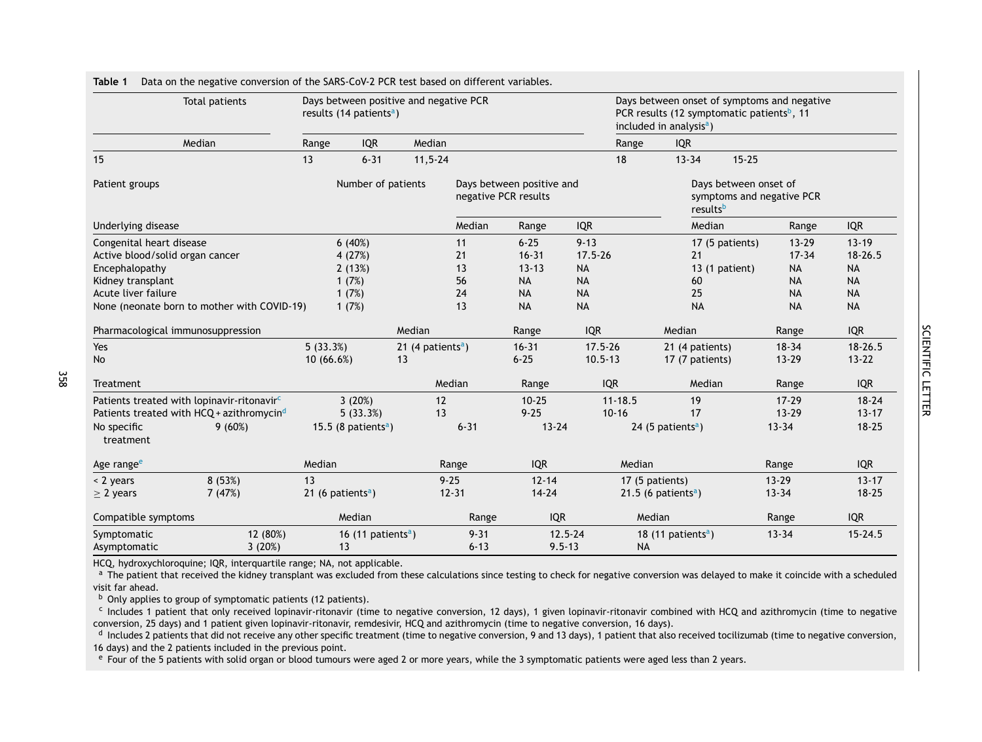| Total patients                                         | Days between positive and negative PCR<br>results (14 patients <sup>a</sup> ) |                                 |        |                                                   |           |            | Days between onset of symptoms and negative<br>PCR results (12 symptomatic patients <sup>b</sup> , 11<br>included in analysis <sup>a</sup> ) |                                                                |                                 |            |             |
|--------------------------------------------------------|-------------------------------------------------------------------------------|---------------------------------|--------|---------------------------------------------------|-----------|------------|----------------------------------------------------------------------------------------------------------------------------------------------|----------------------------------------------------------------|---------------------------------|------------|-------------|
| Median                                                 |                                                                               | <b>IQR</b><br>Range             |        | Median                                            |           |            |                                                                                                                                              | Range                                                          | <b>IQR</b>                      |            |             |
| 15                                                     |                                                                               | 13<br>$6 - 31$                  |        | $11, 5 - 24$                                      |           |            |                                                                                                                                              | 18                                                             | $13 - 34$<br>$15 - 25$          |            |             |
| Patient groups                                         | Number of patients                                                            |                                 |        | Days between positive and<br>negative PCR results |           |            |                                                                                                                                              | Days between onset of<br>symptoms and negative PCR<br>resultsb |                                 |            |             |
| Underlying disease                                     |                                                                               |                                 |        |                                                   | Median    | Range      | <b>IQR</b>                                                                                                                                   |                                                                | Median                          | Range      | <b>IQR</b>  |
| Congenital heart disease                               |                                                                               | 6(40%)                          |        |                                                   | 11        | $6 - 25$   | $9 - 13$                                                                                                                                     |                                                                | 17 (5 patients)                 | $13 - 29$  | $13 - 19$   |
| Active blood/solid organ cancer                        |                                                                               | 4 (27%)                         |        |                                                   | 21        | $16 - 31$  | $17.5 - 26$                                                                                                                                  |                                                                | 21                              | $17 - 34$  | $18 - 26.5$ |
| Encephalopathy                                         |                                                                               | 2(13%)                          |        |                                                   | 13        | $13 - 13$  | <b>NA</b>                                                                                                                                    |                                                                | 13 (1 patient)                  | <b>NA</b>  | <b>NA</b>   |
| Kidney transplant                                      |                                                                               | 1(7%)                           |        |                                                   | 56        | <b>NA</b>  | <b>NA</b>                                                                                                                                    |                                                                | 60                              | <b>NA</b>  | <b>NA</b>   |
| Acute liver failure                                    |                                                                               | 1(7%)                           |        |                                                   | 24        | <b>NA</b>  | <b>NA</b>                                                                                                                                    |                                                                | 25                              | <b>NA</b>  | <b>NA</b>   |
| None (neonate born to mother with COVID-19)            |                                                                               | 1(7%)                           |        |                                                   | 13        | <b>NA</b>  | <b>NA</b>                                                                                                                                    |                                                                | <b>NA</b>                       | <b>NA</b>  | <b>NA</b>   |
| Pharmacological immunosuppression                      |                                                                               |                                 | Median |                                                   | Range     | <b>IQR</b> |                                                                                                                                              | Median                                                         | Range                           | <b>IQR</b> |             |
| Yes                                                    |                                                                               | 5(33.3%)                        |        | 21 (4 patients <sup>a</sup> )                     |           | $16 - 31$  | $17.5 - 26$                                                                                                                                  |                                                                | 21 (4 patients)                 | $18 - 34$  | $18 - 26.5$ |
| <b>No</b>                                              |                                                                               | 10(66.6%)                       | 13     |                                                   |           | $6 - 25$   | $10.5 - 13$                                                                                                                                  |                                                                | 17 (7 patients)                 | $13 - 29$  | $13 - 22$   |
| Treatment                                              |                                                                               |                                 |        |                                                   | Median    | Range      |                                                                                                                                              | <b>IQR</b>                                                     | Median                          | Range      | <b>IQR</b>  |
| Patients treated with lopinavir-ritonavir <sup>c</sup> |                                                                               | 3(20%)                          |        | 12                                                |           | $10 - 25$  |                                                                                                                                              | $11 - 18.5$                                                    | 19                              | $17 - 29$  | $18 - 24$   |
| Patients treated with HCQ + azithromycin <sup>d</sup>  |                                                                               | 5(33.3%)                        |        | 13                                                |           | $9 - 25$   |                                                                                                                                              | $10 - 16$                                                      | 17                              | $13 - 29$  | $13 - 17$   |
| No specific<br>9(60%)<br>treatment                     |                                                                               | 15.5 (8 patients <sup>a</sup> ) |        |                                                   | $6 - 31$  | $13 - 24$  |                                                                                                                                              |                                                                | 24 (5 patients <sup>a</sup> )   | $13 - 34$  | $18 - 25$   |
| Age range <sup>e</sup>                                 |                                                                               | Median                          |        |                                                   | Range     | <b>IQR</b> |                                                                                                                                              | Median                                                         |                                 | Range      | <b>IQR</b>  |
| 8(53%)<br>< 2 years                                    |                                                                               | 13                              |        | $9 - 25$                                          |           | $12 - 14$  |                                                                                                                                              |                                                                | 17 (5 patients)                 | $13 - 29$  | $13 - 17$   |
| 7(47%)<br>$\geq$ 2 years                               |                                                                               | 21 (6 patients <sup>a</sup> )   |        |                                                   | $12 - 31$ | $14 - 24$  |                                                                                                                                              |                                                                | 21.5 (6 patients <sup>a</sup> ) | $13 - 34$  | $18 - 25$   |
| Compatible symptoms                                    |                                                                               | Median                          |        |                                                   | Range     | <b>IQR</b> |                                                                                                                                              |                                                                | Median                          | Range      | <b>IQR</b>  |
| Symptomatic                                            | 12 (80%)                                                                      | 16 (11 patients <sup>a</sup> )  |        |                                                   | $9 - 31$  |            | $12.5 - 24$                                                                                                                                  |                                                                | 18 (11 patients <sup>a</sup> )  | $13 - 34$  | $15 - 24.5$ |
| Asymptomatic                                           | 3(20%)                                                                        | 13                              |        |                                                   | $6 - 13$  | $9.5 - 13$ |                                                                                                                                              | <b>NA</b>                                                      |                                 |            |             |

SCIENTIFIC SCIENTIFIC LETTER

<span id="page-1-0"></span>**Table 1** Data on the negative conversion of the SARS-CoV-2 PCR test based on different variables.

HCQ, hydroxychloroquine; IQR, interquartile range; NA, not applicable.

<sup>a</sup> The patient that received the kidney transplant was excluded from these calculations since testing to check for negative conversion was delayed to make it coincide with a scheduled visit far ahead.

 $b$  Only applies to group of symptomatic patients (12 patients).

358

<sup>c</sup> Includes 1 patient that only received lopinavir-ritonavir (time to negative conversion, 12 days), 1 given lopinavir-ritonavir combined with HCQ and azithromycin (time to negative conversion, 25 days) and 1 patient given lopinavir-ritonavir, remdesivir, HCQ and azithromycin (time to negative conversion, 16 days).

d Includes 2 patients that did not receive any other specific treatment (time to negative conversion, 9 and 13 days), 1 patient that also received tocilizumab (time to negative conversion, 16 days) and the 2 patients included in the previous point.

 $e$  Four of the 5 patients with solid organ or blood tumours were aged 2 or more years, while the 3 symptomatic patients were aged less than 2 years.